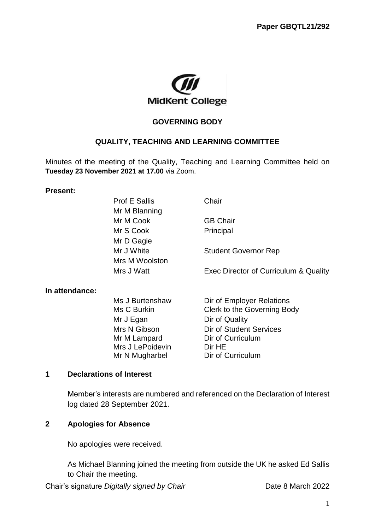

#### **GOVERNING BODY**

#### **QUALITY, TEACHING AND LEARNING COMMITTEE**

Minutes of the meeting of the Quality, Teaching and Learning Committee held on **Tuesday 23 November 2021 at 17.00** via Zoom.

#### **Present:**

|                | <b>Prof E Sallis</b> | Chair                                 |
|----------------|----------------------|---------------------------------------|
|                | Mr M Blanning        |                                       |
|                | Mr M Cook            | <b>GB Chair</b>                       |
|                | Mr S Cook            | Principal                             |
|                | Mr D Gagie           |                                       |
|                | Mr J White           | <b>Student Governor Rep</b>           |
|                | Mrs M Woolston       |                                       |
|                | Mrs J Watt           | Exec Director of Curriculum & Quality |
| In attendance: |                      |                                       |
|                | Ms J Burtenshaw      | Dir of Employer Relations             |
|                | Ms C Burkin          | Clerk to the Governing Body           |
|                | Mr J Egan            | Dir of Quality                        |
|                | Mrs N Gibson         | Dir of Student Services               |
|                | Mr M Lampard         | Dir of Curriculum                     |
|                | Mrs J LePoidevin     | Dir HE                                |
|                | Mr N Mugharbel       | Dir of Curriculum                     |

#### **1 Declarations of Interest**

Member's interests are numbered and referenced on the Declaration of Interest log dated 28 September 2021.

## **2 Apologies for Absence**

No apologies were received.

As Michael Blanning joined the meeting from outside the UK he asked Ed Sallis to Chair the meeting.

Chair's signature *Digitally signed by Chair* Date 8 March 2022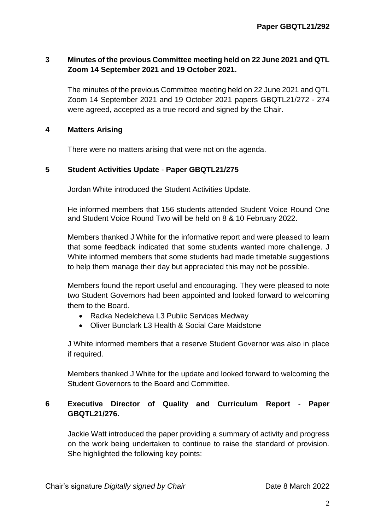## **3 Minutes of the previous Committee meeting held on 22 June 2021 and QTL Zoom 14 September 2021 and 19 October 2021.**

The minutes of the previous Committee meeting held on 22 June 2021 and QTL Zoom 14 September 2021 and 19 October 2021 papers GBQTL21/272 - 274 were agreed, accepted as a true record and signed by the Chair.

## **4 Matters Arising**

There were no matters arising that were not on the agenda.

## **5 Student Activities Update** - **Paper GBQTL21/275**

Jordan White introduced the Student Activities Update.

He informed members that 156 students attended Student Voice Round One and Student Voice Round Two will be held on 8 & 10 February 2022.

Members thanked J White for the informative report and were pleased to learn that some feedback indicated that some students wanted more challenge. J White informed members that some students had made timetable suggestions to help them manage their day but appreciated this may not be possible.

Members found the report useful and encouraging. They were pleased to note two Student Governors had been appointed and looked forward to welcoming them to the Board.

- Radka Nedelcheva L3 Public Services Medway
- Oliver Bunclark L3 Health & Social Care Maidstone

J White informed members that a reserve Student Governor was also in place if required.

Members thanked J White for the update and looked forward to welcoming the Student Governors to the Board and Committee.

# **6 Executive Director of Quality and Curriculum Report** - **Paper GBQTL21/276.**

Jackie Watt introduced the paper providing a summary of activity and progress on the work being undertaken to continue to raise the standard of provision. She highlighted the following key points: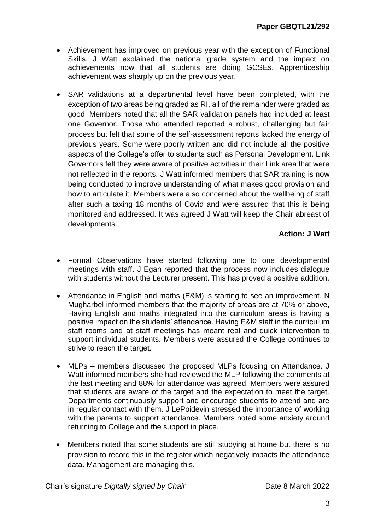- Achievement has improved on previous year with the exception of Functional Skills. J Watt explained the national grade system and the impact on achievements now that all students are doing GCSEs. Apprenticeship achievement was sharply up on the previous year.
- SAR validations at a departmental level have been completed, with the exception of two areas being graded as RI, all of the remainder were graded as good. Members noted that all the SAR validation panels had included at least one Governor. Those who attended reported a robust, challenging but fair process but felt that some of the self-assessment reports lacked the energy of previous years. Some were poorly written and did not include all the positive aspects of the College's offer to students such as Personal Development. Link Governors felt they were aware of positive activities in their Link area that were not reflected in the reports. J Watt informed members that SAR training is now being conducted to improve understanding of what makes good provision and how to articulate it. Members were also concerned about the wellbeing of staff after such a taxing 18 months of Covid and were assured that this is being monitored and addressed. It was agreed J Watt will keep the Chair abreast of developments.

## **Action: J Watt**

- Formal Observations have started following one to one developmental meetings with staff. J Egan reported that the process now includes dialogue with students without the Lecturer present. This has proved a positive addition.
- Attendance in English and maths (E&M) is starting to see an improvement. N Mugharbel informed members that the majority of areas are at 70% or above, Having English and maths integrated into the curriculum areas is having a positive impact on the students' attendance. Having E&M staff in the curriculum staff rooms and at staff meetings has meant real and quick intervention to support individual students. Members were assured the College continues to strive to reach the target.
- MLPs members discussed the proposed MLPs focusing on Attendance. J Watt informed members she had reviewed the MLP following the comments at the last meeting and 88% for attendance was agreed. Members were assured that students are aware of the target and the expectation to meet the target. Departments continuously support and encourage students to attend and are in regular contact with them. J LePoidevin stressed the importance of working with the parents to support attendance. Members noted some anxiety around returning to College and the support in place.
- Members noted that some students are still studying at home but there is no provision to record this in the register which negatively impacts the attendance data. Management are managing this.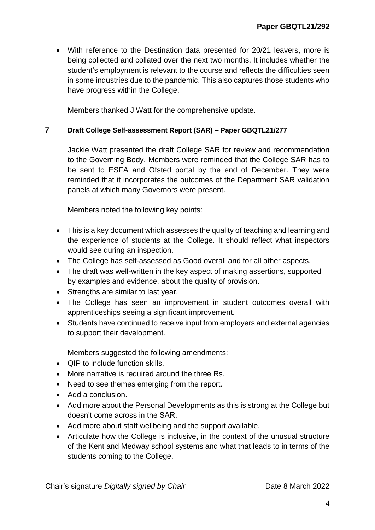With reference to the Destination data presented for 20/21 leavers, more is being collected and collated over the next two months. It includes whether the student's employment is relevant to the course and reflects the difficulties seen in some industries due to the pandemic. This also captures those students who have progress within the College.

Members thanked J Watt for the comprehensive update.

#### **7 Draft College Self-assessment Report (SAR) – Paper GBQTL21/277**

Jackie Watt presented the draft College SAR for review and recommendation to the Governing Body. Members were reminded that the College SAR has to be sent to ESFA and Ofsted portal by the end of December. They were reminded that it incorporates the outcomes of the Department SAR validation panels at which many Governors were present.

Members noted the following key points:

- This is a key document which assesses the quality of teaching and learning and the experience of students at the College. It should reflect what inspectors would see during an inspection.
- The College has self-assessed as Good overall and for all other aspects.
- The draft was well-written in the key aspect of making assertions, supported by examples and evidence, about the quality of provision.
- Strengths are similar to last year.
- The College has seen an improvement in student outcomes overall with apprenticeships seeing a significant improvement.
- Students have continued to receive input from employers and external agencies to support their development.

Members suggested the following amendments:

- OIP to include function skills.
- More narrative is required around the three Rs.
- Need to see themes emerging from the report.
- Add a conclusion.
- Add more about the Personal Developments as this is strong at the College but doesn't come across in the SAR.
- Add more about staff wellbeing and the support available.
- Articulate how the College is inclusive, in the context of the unusual structure of the Kent and Medway school systems and what that leads to in terms of the students coming to the College.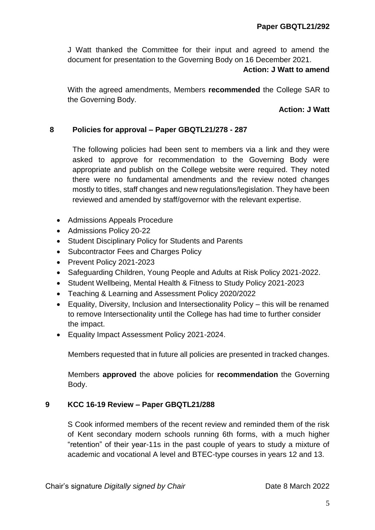J Watt thanked the Committee for their input and agreed to amend the document for presentation to the Governing Body on 16 December 2021.

#### **Action: J Watt to amend**

With the agreed amendments, Members **recommended** the College SAR to the Governing Body.

### **Action: J Watt**

### **8 Policies for approval – Paper GBQTL21/278 - 287**

The following policies had been sent to members via a link and they were asked to approve for recommendation to the Governing Body were appropriate and publish on the College website were required. They noted there were no fundamental amendments and the review noted changes mostly to titles, staff changes and new regulations/legislation. They have been reviewed and amended by staff/governor with the relevant expertise.

- Admissions Appeals Procedure
- Admissions Policy 20-22
- Student Disciplinary Policy for Students and Parents
- Subcontractor Fees and Charges Policy
- Prevent Policy 2021-2023
- Safeguarding Children, Young People and Adults at Risk Policy 2021-2022.
- Student Wellbeing, Mental Health & Fitness to Study Policy 2021-2023
- Teaching & Learning and Assessment Policy 2020/2022
- Equality, Diversity, Inclusion and Intersectionality Policy this will be renamed to remove Intersectionality until the College has had time to further consider the impact.
- **Equality Impact Assessment Policy 2021-2024.**

Members requested that in future all policies are presented in tracked changes.

Members **approved** the above policies for **recommendation** the Governing Body.

### **9 KCC 16-19 Review – Paper GBQTL21/288**

S Cook informed members of the recent review and reminded them of the risk of Kent secondary modern schools running 6th forms, with a much higher "retention" of their year-11s in the past couple of years to study a mixture of academic and vocational A level and BTEC-type courses in years 12 and 13.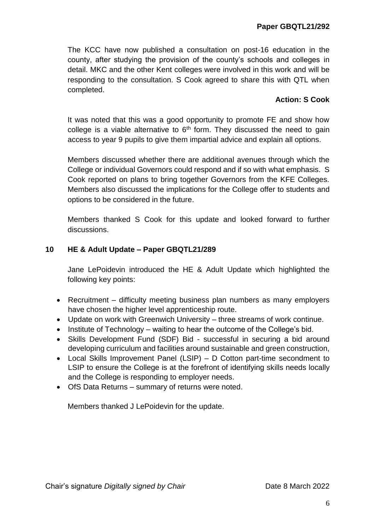The KCC have now published a consultation on post-16 education in the county, after studying the provision of the county's schools and colleges in detail. MKC and the other Kent colleges were involved in this work and will be responding to the consultation. S Cook agreed to share this with QTL when completed.

## **Action: S Cook**

It was noted that this was a good opportunity to promote FE and show how college is a viable alternative to  $6<sup>th</sup>$  form. They discussed the need to gain access to year 9 pupils to give them impartial advice and explain all options.

Members discussed whether there are additional avenues through which the College or individual Governors could respond and if so with what emphasis. S Cook reported on plans to bring together Governors from the KFE Colleges. Members also discussed the implications for the College offer to students and options to be considered in the future.

Members thanked S Cook for this update and looked forward to further discussions.

### **10 HE & Adult Update – Paper GBQTL21/289**

Jane LePoidevin introduced the HE & Adult Update which highlighted the following key points:

- Recruitment difficulty meeting business plan numbers as many employers have chosen the higher level apprenticeship route.
- Update on work with Greenwich University three streams of work continue.
- Institute of Technology waiting to hear the outcome of the College's bid.
- Skills Development Fund (SDF) Bid successful in securing a bid around developing curriculum and facilities around sustainable and green construction,
- Local Skills Improvement Panel (LSIP) D Cotton part-time secondment to LSIP to ensure the College is at the forefront of identifying skills needs locally and the College is responding to employer needs.
- OfS Data Returns summary of returns were noted.

Members thanked J LePoidevin for the update.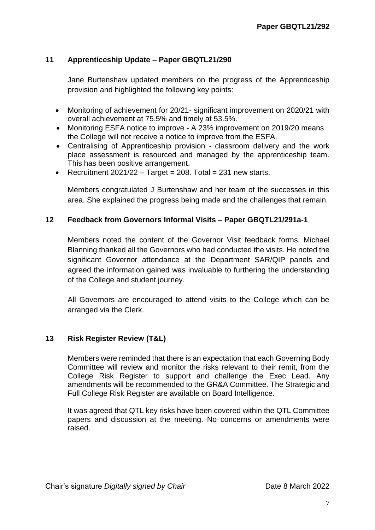## **11 Apprenticeship Update – Paper GBQTL21/290**

Jane Burtenshaw updated members on the progress of the Apprenticeship provision and highlighted the following key points:

- Monitoring of achievement for 20/21- significant improvement on 2020/21 with overall achievement at 75.5% and timely at 53.5%.
- Monitoring ESFA notice to improve A 23% improvement on 2019/20 means the College will not receive a notice to improve from the ESFA.
- Centralising of Apprenticeship provision classroom delivery and the work place assessment is resourced and managed by the apprenticeship team. This has been positive arrangement.
- Recruitment  $2021/22 T$ arget = 208. Total = 231 new starts.

Members congratulated J Burtenshaw and her team of the successes in this area. She explained the progress being made and the challenges that remain.

#### **12 Feedback from Governors Informal Visits – Paper GBQTL21/291a-1**

Members noted the content of the Governor Visit feedback forms. Michael Blanning thanked all the Governors who had conducted the visits. He noted the significant Governor attendance at the Department SAR/QIP panels and agreed the information gained was invaluable to furthering the understanding of the College and student journey.

All Governors are encouraged to attend visits to the College which can be arranged via the Clerk.

### **13 Risk Register Review (T&L)**

Members were reminded that there is an expectation that each Governing Body Committee will review and monitor the risks relevant to their remit, from the College Risk Register to support and challenge the Exec Lead. Any amendments will be recommended to the GR&A Committee. The Strategic and Full College Risk Register are available on Board Intelligence.

It was agreed that QTL key risks have been covered within the QTL Committee papers and discussion at the meeting. No concerns or amendments were raised.